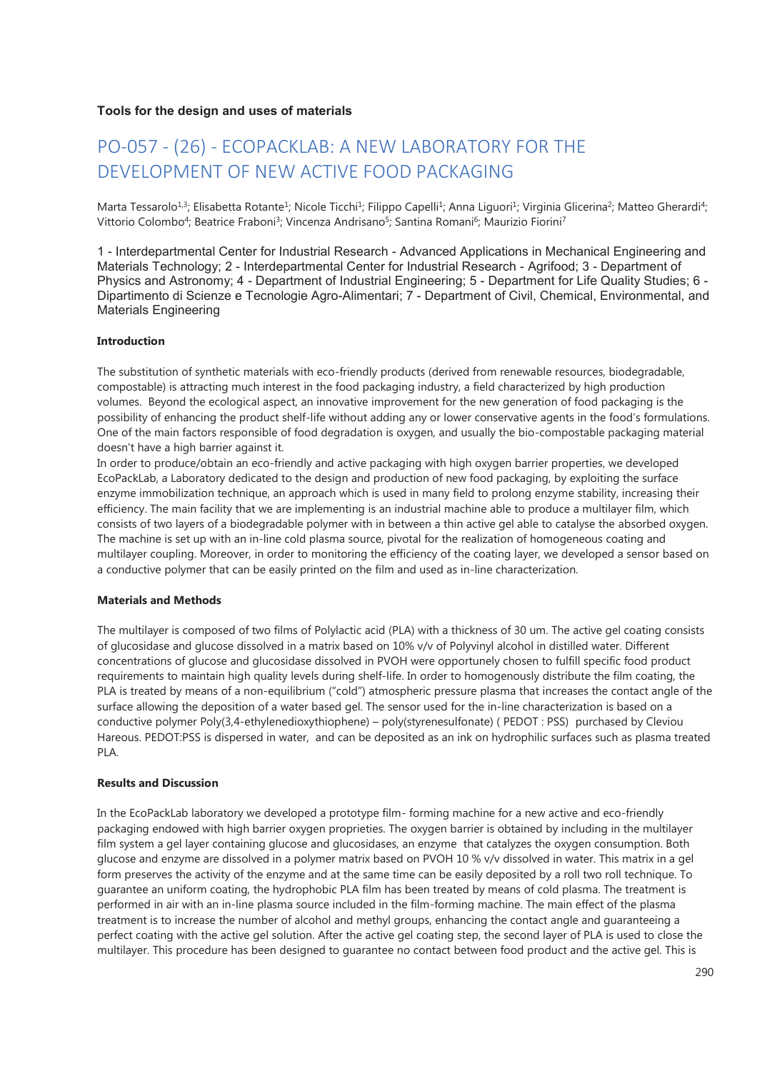## **Tools for the design and uses of materials**

# PO-057 - (26) - ECOPACKLAB: A NEW LABORATORY FOR THE DEVELOPMENT OF NEW ACTIVE FOOD PACKAGING

Marta Tessarolo<sup>1,3</sup>; Elisabetta Rotante<sup>1</sup>; Nicole Ticchi<sup>1</sup>; Filippo Capelli<sup>1</sup>; Anna Liguori<sup>1</sup>; Virginia Glicerina<sup>2</sup>; Matteo Gherardi<sup>4</sup>; Vittorio Colombo<sup>4</sup>; Beatrice Fraboni<sup>3</sup>; Vincenza Andrisano<sup>5</sup>; Santina Romani<sup>6</sup>; Maurizio Fiorini<sup>7</sup>

1 - Interdepartmental Center for Industrial Research - Advanced Applications in Mechanical Engineering and Materials Technology; 2 - Interdepartmental Center for Industrial Research - Agrifood; 3 - Department of Physics and Astronomy; 4 - Department of Industrial Engineering; 5 - Department for Life Quality Studies; 6 - Dipartimento di Scienze e Tecnologie Agro-Alimentari; 7 - Department of Civil, Chemical, Environmental, and Materials Engineering

#### **Introduction**

The substitution of synthetic materials with eco-friendly products (derived from renewable resources, biodegradable, compostable) is attracting much interest in the food packaging industry, a field characterized by high production volumes. Beyond the ecological aspect, an innovative improvement for the new generation of food packaging is the possibility of enhancing the product shelf-life without adding any or lower conservative agents in the food's formulations. One of the main factors responsible of food degradation is oxygen, and usually the bio-compostable packaging material doesn't have a high barrier against it.

In order to produce/obtain an eco-friendly and active packaging with high oxygen barrier properties, we developed EcoPackLab, a Laboratory dedicated to the design and production of new food packaging, by exploiting the surface enzyme immobilization technique, an approach which is used in many field to prolong enzyme stability, increasing their efficiency. The main facility that we are implementing is an industrial machine able to produce a multilayer film, which consists of two layers of a biodegradable polymer with in between a thin active gel able to catalyse the absorbed oxygen. The machine is set up with an in-line cold plasma source, pivotal for the realization of homogeneous coating and multilayer coupling. Moreover, in order to monitoring the efficiency of the coating layer, we developed a sensor based on a conductive polymer that can be easily printed on the film and used as in-line characterization.

#### **Materials and Methods**

The multilayer is composed of two films of Polylactic acid (PLA) with a thickness of 30 um. The active gel coating consists of glucosidase and glucose dissolved in a matrix based on 10% v/v of Polyvinyl alcohol in distilled water. Different concentrations of glucose and glucosidase dissolved in PVOH were opportunely chosen to fulfill specific food product requirements to maintain high quality levels during shelf-life. In order to homogenously distribute the film coating, the PLA is treated by means of a non-equilibrium ("cold") atmospheric pressure plasma that increases the contact angle of the surface allowing the deposition of a water based gel. The sensor used for the in-line characterization is based on a conductive polymer Poly(3,4-ethylenedioxythiophene) – poly(styrenesulfonate) ( PEDOT : PSS) purchased by Cleviou Hareous. PEDOT:PSS is dispersed in water, and can be deposited as an ink on hydrophilic surfaces such as plasma treated PLA.

#### **Results and Discussion**

In the EcoPackLab laboratory we developed a prototype film- forming machine for a new active and eco-friendly packaging endowed with high barrier oxygen proprieties. The oxygen barrier is obtained by including in the multilayer film system a gel layer containing glucose and glucosidases, an enzyme that catalyzes the oxygen consumption. Both glucose and enzyme are dissolved in a polymer matrix based on PVOH 10 % v/v dissolved in water. This matrix in a gel form preserves the activity of the enzyme and at the same time can be easily deposited by a roll two roll technique. To guarantee an uniform coating, the hydrophobic PLA film has been treated by means of cold plasma. The treatment is performed in air with an in-line plasma source included in the film-forming machine. The main effect of the plasma treatment is to increase the number of alcohol and methyl groups, enhancing the contact angle and guaranteeing a perfect coating with the active gel solution. After the active gel coating step, the second layer of PLA is used to close the multilayer. This procedure has been designed to guarantee no contact between food product and the active gel. This is